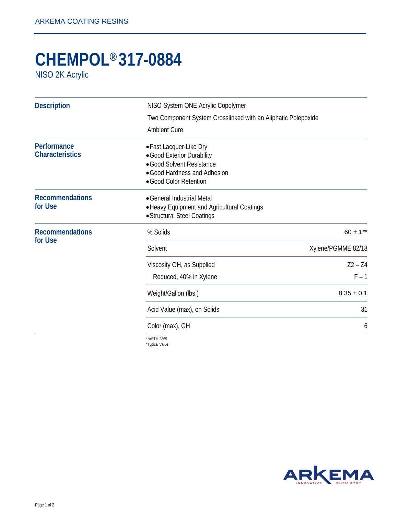## **CHEMPOL® 317-0884**

NISO 2K Acrylic

| <b>Description</b>                | NISO System ONE Acrylic Copolymer<br>Two Component System Crosslinked with an Aliphatic Polepoxide       |                                                                                                                                              |
|-----------------------------------|----------------------------------------------------------------------------------------------------------|----------------------------------------------------------------------------------------------------------------------------------------------|
|                                   |                                                                                                          |                                                                                                                                              |
|                                   | Performance<br><b>Characteristics</b>                                                                    | • Fast Lacquer-Like Dry<br>• Good Exterior Durability<br>• Good Solvent Resistance<br>• Good Hardness and Adhesion<br>• Good Color Retention |
| <b>Recommendations</b><br>for Use | • General Industrial Metal<br>• Heavy Equipment and Agricultural Coatings<br>• Structural Steel Coatings |                                                                                                                                              |
| <b>Recommendations</b><br>for Use | % Solids                                                                                                 | $60 \pm 1**$                                                                                                                                 |
|                                   | Solvent                                                                                                  | Xylene/PGMME 82/18                                                                                                                           |
|                                   | Viscosity GH, as Supplied                                                                                | $Z2 - Z4$                                                                                                                                    |
|                                   | Reduced, 40% in Xylene                                                                                   | $F - 1$                                                                                                                                      |
|                                   | Weight/Gallon (lbs.)                                                                                     | $8.35 \pm 0.1$                                                                                                                               |
|                                   | Acid Value (max), on Solids                                                                              | 31                                                                                                                                           |
|                                   | Color (max), GH                                                                                          | 6                                                                                                                                            |
|                                   | ** ASTM 2369                                                                                             |                                                                                                                                              |

\*Typical Value